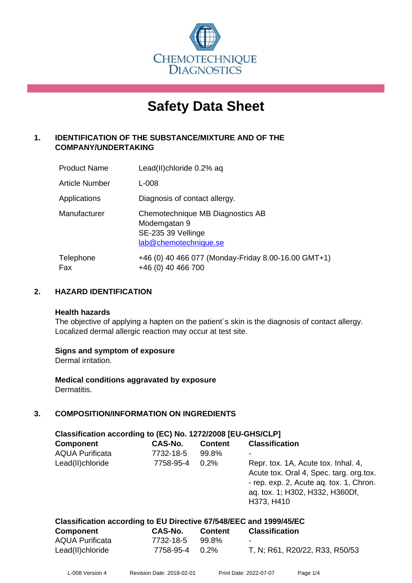

# **Safety Data Sheet**

# **1. IDENTIFICATION OF THE SUBSTANCE/MIXTURE AND OF THE COMPANY/UNDERTAKING**

| <b>Product Name</b>   | Lead(II)chloride 0.2% aq                                                                        |
|-----------------------|-------------------------------------------------------------------------------------------------|
| <b>Article Number</b> | L-008                                                                                           |
| Applications          | Diagnosis of contact allergy.                                                                   |
| Manufacturer          | Chemotechnique MB Diagnostics AB<br>Modemgatan 9<br>SE-235 39 Vellinge<br>lab@chemotechnique.se |
| Telephone<br>Fax      | +46 (0) 40 466 077 (Monday-Friday 8.00-16.00 GMT+1)<br>+46 (0) 40 466 700                       |

# **2. HAZARD IDENTIFICATION**

#### **Health hazards**

The objective of applying a hapten on the patient's skin is the diagnosis of contact allergy. Localized dermal allergic reaction may occur at test site.

## **Signs and symptom of exposure**

Dermal irritation.

**Medical conditions aggravated by exposure** Dermatitis.

# **3. COMPOSITION/INFORMATION ON INGREDIENTS**

| Classification according to (EC) No. 1272/2008 [EU-GHS/CLP] |           |                |                                                                                                                                                                            |  |  |  |
|-------------------------------------------------------------|-----------|----------------|----------------------------------------------------------------------------------------------------------------------------------------------------------------------------|--|--|--|
| <b>Component</b>                                            | CAS-No.   | <b>Content</b> | <b>Classification</b>                                                                                                                                                      |  |  |  |
| <b>AQUA Purificata</b>                                      | 7732-18-5 | 99.8%          |                                                                                                                                                                            |  |  |  |
| Lead(II)chloride                                            | 7758-95-4 | 0.2%           | Repr. tox. 1A, Acute tox. Inhal. 4,<br>Acute tox. Oral 4, Spec. targ. org.tox.<br>- rep. exp. 2, Acute aq. tox. 1, Chron.<br>aq. tox. 1; H302, H332, H360Df,<br>H373, H410 |  |  |  |

|  | Classification according to EU Directive 67/548/EEC and 1999/45/EC |
|--|--------------------------------------------------------------------|
|--|--------------------------------------------------------------------|

| <b>Component</b>       | <b>CAS-No.</b> | <b>Content</b> | <b>Classification</b>          |
|------------------------|----------------|----------------|--------------------------------|
| <b>AQUA Purificata</b> | 7732-18-5      | 99.8%          | $\sim$                         |
| Lead(II)chloride       | 7758-95-4 0.2% |                | T, N; R61, R20/22, R33, R50/53 |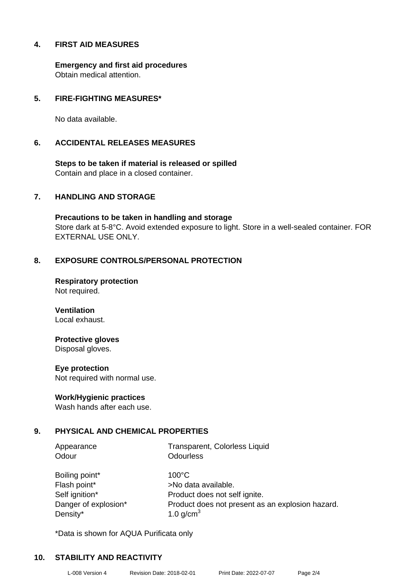## **4. FIRST AID MEASURES**

**Emergency and first aid procedures** Obtain medical attention.

## **5. FIRE-FIGHTING MEASURES\***

No data available.

#### **6. ACCIDENTAL RELEASES MEASURES**

**Steps to be taken if material is released or spilled** Contain and place in a closed container.

#### **7. HANDLING AND STORAGE**

**Precautions to be taken in handling and storage** Store dark at 5-8°C. Avoid extended exposure to light. Store in a well-sealed container. FOR EXTERNAL USE ONLY.

## **8. EXPOSURE CONTROLS/PERSONAL PROTECTION**

**Respiratory protection** Not required.

**Ventilation** Local exhaust.

## **Protective gloves**

Disposal gloves.

#### **Eye protection**

Not required with normal use.

#### **Work/Hygienic practices**

Wash hands after each use.

## **9. PHYSICAL AND CHEMICAL PROPERTIES**

Odour **Odourless** 

Appearance Transparent, Colorless Liquid

Boiling point\* 100°C Flash point\* >No data available. Density\*  $1.0 \text{ g/cm}^3$ 

Self ignition\* Product does not self ignite. Danger of explosion\* Product does not present as an explosion hazard.

\*Data is shown for AQUA Purificata only

## **10. STABILITY AND REACTIVITY**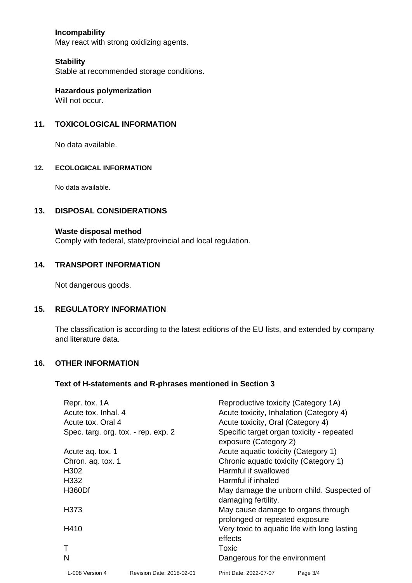# **Incompability**

May react with strong oxidizing agents.

#### **Stability**

Stable at recommended storage conditions.

**Hazardous polymerization** Will not occur.

## **11. TOXICOLOGICAL INFORMATION**

No data available.

#### **12. ECOLOGICAL INFORMATION**

No data available.

# **13. DISPOSAL CONSIDERATIONS**

#### **Waste disposal method**

Comply with federal, state/provincial and local regulation.

# **14. TRANSPORT INFORMATION**

Not dangerous goods.

#### **15. REGULATORY INFORMATION**

The classification is according to the latest editions of the EU lists, and extended by company and literature data.

## **16. OTHER INFORMATION**

#### **Text of H-statements and R-phrases mentioned in Section 3**

| Repr. tox. 1A<br>Acute tox. Inhal. 4 |                           | Reproductive toxicity (Category 1A)<br>Acute toxicity, Inhalation (Category 4) |                                   |  |  |
|--------------------------------------|---------------------------|--------------------------------------------------------------------------------|-----------------------------------|--|--|
| Acute tox. Oral 4                    |                           |                                                                                | Acute toxicity, Oral (Category 4) |  |  |
| Spec. targ. org. tox. - rep. exp. 2  |                           | Specific target organ toxicity - repeated<br>exposure (Category 2)             |                                   |  |  |
| Acute ag. tox. 1                     |                           | Acute aquatic toxicity (Category 1)                                            |                                   |  |  |
| Chron. ag. tox. 1                    |                           | Chronic aquatic toxicity (Category 1)                                          |                                   |  |  |
| H <sub>302</sub>                     |                           | Harmful if swallowed                                                           |                                   |  |  |
| H332                                 |                           | Harmful if inhaled                                                             |                                   |  |  |
| H360Df                               |                           | May damage the unborn child. Suspected of<br>damaging fertility.               |                                   |  |  |
| H373                                 |                           | May cause damage to organs through<br>prolonged or repeated exposure           |                                   |  |  |
| H410                                 |                           | Very toxic to aquatic life with long lasting<br>effects                        |                                   |  |  |
|                                      |                           | Toxic                                                                          |                                   |  |  |
| N                                    |                           | Dangerous for the environment                                                  |                                   |  |  |
| L-008 Version 4                      | Revision Date: 2018-02-01 | Print Date: 2022-07-07                                                         | Page 3/4                          |  |  |